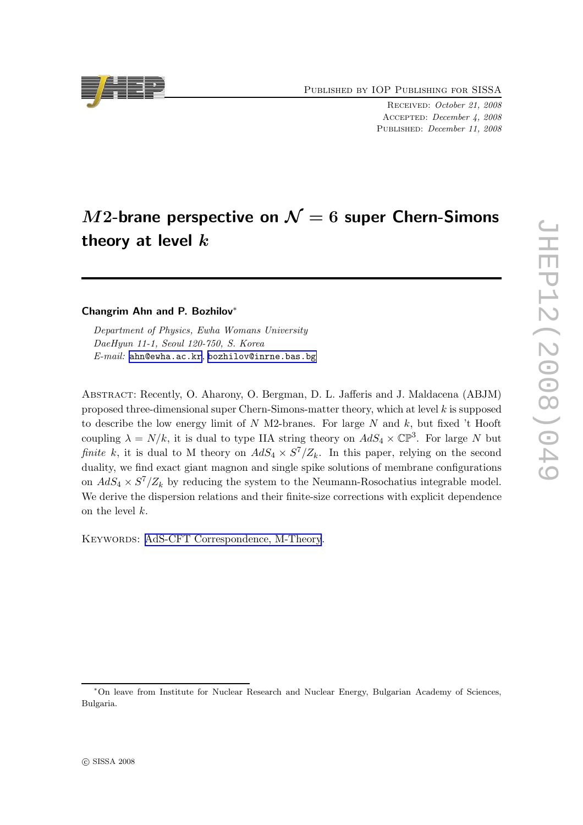Published by IOP Publishing for SISSA

Received: October 21, 2008 Accepted: December 4, 2008 PUBLISHED: December 11, 2008

# $M2$ -brane perspective on  $\mathcal{N}=6$  super Chern-Simons theory at level  $k$

#### Changrim Ahn and P. Bozhilov<sup>∗</sup>

Department of Physics, Ewha Womans University DaeHyun 11-1, Seoul 120-750, S. Korea E-mail: [ahn@ewha.ac.kr](mailto:ahn@ewha.ac.kr), [bozhilov@inrne.bas.bg](mailto:bozhilov@inrne.bas.bg)

Abstract: Recently, O. Aharony, O. Bergman, D. L. Jafferis and J. Maldacena (ABJM) proposed three-dimensional super Chern-Simons-matter theory, which at level  $k$  is supposed to describe the low energy limit of  $N$  M2-branes. For large  $N$  and  $k$ , but fixed 't Hooft coupling  $\lambda = N/k$ , it is dual to type IIA string theory on  $AdS_4 \times \mathbb{CP}^3$ . For large N but finite k, it is dual to M theory on  $AdS_4 \times S^7/Z_k$ . In this paper, relying on the second duality, we find exact giant magnon and single spike solutions of membrane configurations on  $AdS_4 \times S^7/Z_k$  by reducing the system to the Neumann-Rosochatius integrable model. We derive the dispersion relations and their finite-size corrections with explicit dependence on the level k.

KEYWORDS: [AdS-CFT Correspondence, M-Theory](http://jhep.sissa.it/stdsearch).



<sup>∗</sup>On leave from Institute for Nuclear Research and Nuclear Energy, Bulgarian Academy of Sciences, Bulgaria.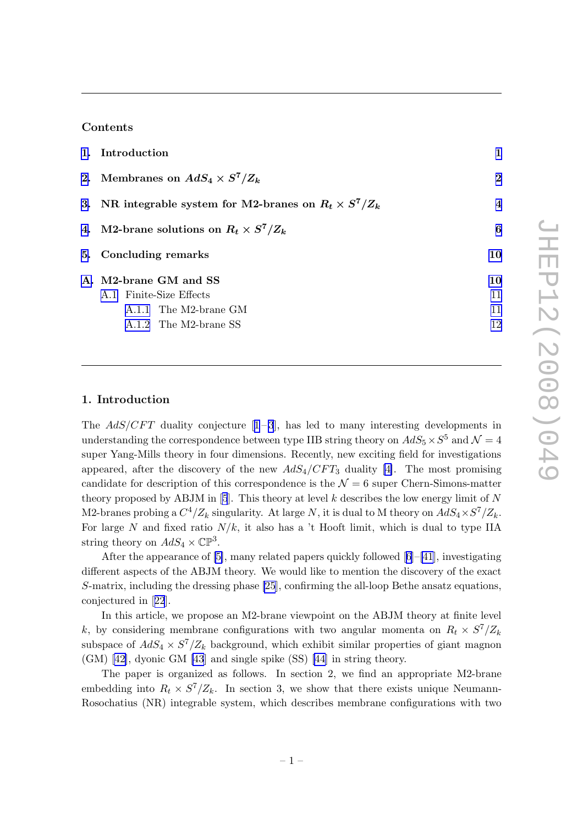# Contents

| 1. Introduction                                               |              |
|---------------------------------------------------------------|--------------|
| 2. Membranes on $AdS_4 \times S^7/Z_k$                        | $\mathbf{2}$ |
| 3. NR integrable system for M2-branes on $R_t \times S^7/Z_k$ | 4            |
| 4. M2-brane solutions on $R_t \times S^7/Z_k$                 | 6            |
| 5. Concluding remarks                                         | 10           |
| A. M2-brane GM and SS                                         | 10           |
| A.1 Finite-Size Effects                                       | 11           |
| A.1.1 The M2-brane GM                                         | 11           |
| A.1.2 The M2-brane SS                                         | 12           |
|                                                               |              |

## 1. Introduction

The $AdS/CFT$  duality conjecture  $[1-3]$  $[1-3]$  $[1-3]$ , has led to many interesting developments in understanding the correspondence between type IIB string theory on  $AdS_5 \times S^5$  and  $\mathcal{N} = 4$ super Yang-Mills theory in four dimensions. Recently, new exciting field for investigations appeared, after the discovery of the new  $AdS_4/CFT_3$  duality [\[4\]](#page-13-0). The most promising candidate for description of this correspondence is the  $\mathcal{N}=6$  super Chern-Simons-matter theory proposed by ABJM in [\[5](#page-13-0)]. This theory at level  $k$  describes the low energy limit of  $N$ M2-branes probing a  $C^4/Z_k$  singularity. At large N, it is dual to M theory on  $AdS_4 \times S^7/Z_k$ . For large N and fixed ratio  $N/k$ , it also has a 't Hooft limit, which is dual to type IIA string theory on  $AdS_4 \times \mathbb{CP}^3$ .

After the appearance of [\[5\]](#page-13-0), many related papers quickly followed[[6](#page-13-0)]–[\[41](#page-15-0)], investigating different aspects of the ABJM theory. We would like to mention the discovery of the exact S-matrix, including the dressing phase [\[25](#page-14-0)], confirming the all-loop Bethe ansatz equations, conjectured in[[22](#page-14-0)].

In this article, we propose an M2-brane viewpoint on the ABJM theory at finite level k, by considering membrane configurations with two angular momenta on  $R_t \times S^7/Z_k$ subspace of  $AdS_4 \times S^7/Z_k$  background, which exhibit similar properties of giant magnon (GM) [\[42\]](#page-15-0), dyonic GM [\[43](#page-15-0)] and single spike (SS) [\[44\]](#page-15-0) in string theory.

The paper is organized as follows. In section 2, we find an appropriate M2-brane embedding into  $R_t \times S^7/Z_k$ . In section 3, we show that there exists unique Neumann-Rosochatius (NR) integrable system, which describes membrane configurations with two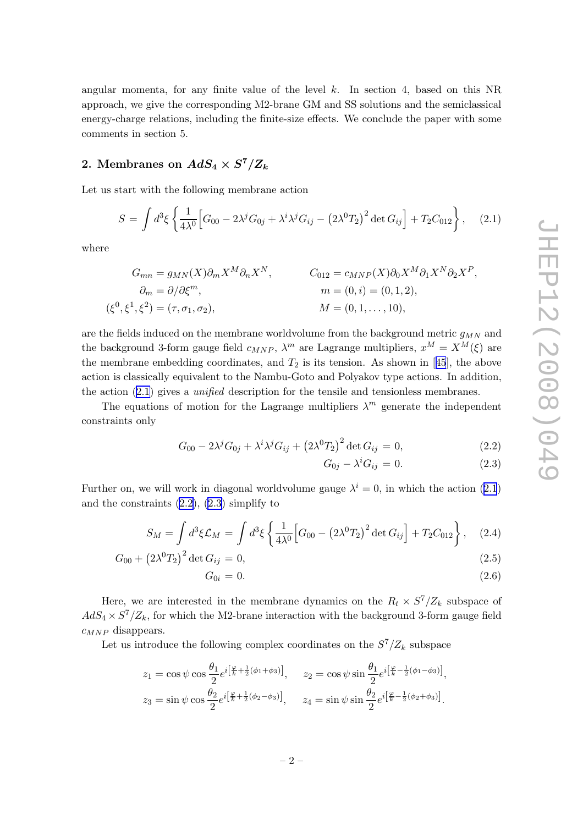<span id="page-2-0"></span>angular momenta, for any finite value of the level  $k$ . In section 4, based on this NR approach, we give the corresponding M2-brane GM and SS solutions and the semiclassical energy-charge relations, including the finite-size effects. We conclude the paper with some comments in section 5.

# 2. Membranes on  $AdS_4\times S^7/Z_k$

Let us start with the following membrane action

$$
S = \int d^3\xi \left\{ \frac{1}{4\lambda^0} \Big[ G_{00} - 2\lambda^j G_{0j} + \lambda^i \lambda^j G_{ij} - \left(2\lambda^0 T_2\right)^2 \det G_{ij} \Big] + T_2 C_{012} \right\}, \quad (2.1)
$$

where

$$
G_{mn} = g_{MN}(X)\partial_m X^M \partial_n X^N, \qquad C_{012} = c_{MNP}(X)\partial_0 X^M \partial_1 X^N \partial_2 X^P,
$$
  
\n
$$
\partial_m = \partial/\partial \xi^m, \qquad m = (0, i) = (0, 1, 2),
$$
  
\n
$$
(\xi^0, \xi^1, \xi^2) = (\tau, \sigma_1, \sigma_2), \qquad M = (0, 1, ..., 10),
$$

are the fields induced on the membrane worldvolume from the background metric  $g_{MN}$  and the background 3-form gauge field  $c_{MNP}$ ,  $\lambda^m$  are Lagrange multipliers,  $x^M = X^M(\xi)$  are themembrane embedding coordinates, and  $T_2$  is its tension. As shown in [[45](#page-15-0)], the above action is classically equivalent to the Nambu-Goto and Polyakov type actions. In addition, the action (2.1) gives a unified description for the tensile and tensionless membranes.

The equations of motion for the Lagrange multipliers  $\lambda^m$  generate the independent constraints only

$$
G_{00} - 2\lambda^j G_{0j} + \lambda^i \lambda^j G_{ij} + (2\lambda^0 T_2)^2 \det G_{ij} = 0,
$$
\n(2.2)

$$
G_{0j} - \lambda^i G_{ij} = 0. \tag{2.3}
$$

Further on, we will work in diagonal worldvolume gauge  $\lambda^{i} = 0$ , in which the action (2.1) and the constraints  $(2.2)$ ,  $(2.3)$  simplify to

$$
S_M = \int d^3 \xi \mathcal{L}_M = \int d^3 \xi \left\{ \frac{1}{4\lambda^0} \Big[ G_{00} - \left( 2\lambda^0 T_2 \right)^2 \det G_{ij} \Big] + T_2 C_{012} \right\}, \quad (2.4)
$$

$$
G_{00} + (2\lambda^0 T_2)^2 \det G_{ij} = 0, \tag{2.5}
$$

$$
G_{0i} = 0. \t\t(2.6)
$$

Here, we are interested in the membrane dynamics on the  $R_t \times S^7/Z_k$  subspace of  $AdS_4 \times S^7/Z_k$ , for which the M2-brane interaction with the background 3-form gauge field  $c_{MNP}$  disappears.

Let us introduce the following complex coordinates on the  $S^7/Z_k$  subspace

$$
z_1 = \cos \psi \cos \frac{\theta_1}{2} e^{i \left[ \frac{\varphi}{k} + \frac{1}{2} (\phi_1 + \phi_3) \right]}, \quad z_2 = \cos \psi \sin \frac{\theta_1}{2} e^{i \left[ \frac{\varphi}{k} - \frac{1}{2} (\phi_1 - \phi_3) \right]},
$$
  

$$
z_3 = \sin \psi \cos \frac{\theta_2}{2} e^{i \left[ \frac{\varphi}{k} + \frac{1}{2} (\phi_2 - \phi_3) \right]}, \quad z_4 = \sin \psi \sin \frac{\theta_2}{2} e^{i \left[ \frac{\varphi}{k} - \frac{1}{2} (\phi_2 + \phi_3) \right]}.
$$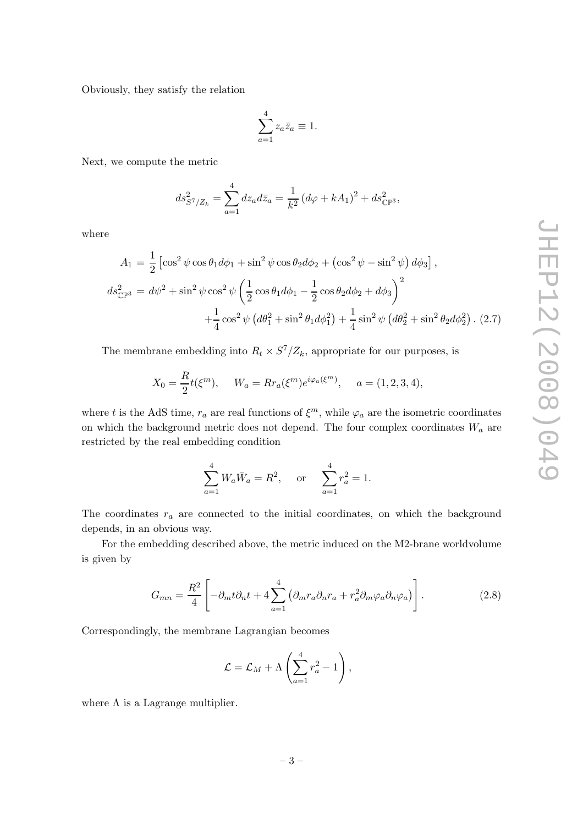<span id="page-3-0"></span>Obviously, they satisfy the relation

$$
\sum_{a=1}^{4} z_a \bar{z}_a \equiv 1.
$$

Next, we compute the metric

$$
ds_{S^{7}/Z_{k}}^{2} = \sum_{a=1}^{4} dz_{a} d\bar{z}_{a} = \frac{1}{k^{2}} (d\varphi + kA_{1})^{2} + ds_{\mathbb{CP}^{3}}^{2},
$$

where

$$
A_1 = \frac{1}{2} \left[ \cos^2 \psi \cos \theta_1 d\phi_1 + \sin^2 \psi \cos \theta_2 d\phi_2 + \left( \cos^2 \psi - \sin^2 \psi \right) d\phi_3 \right],
$$
  
\n
$$
ds_{\mathbb{CP}^3}^2 = d\psi^2 + \sin^2 \psi \cos^2 \psi \left( \frac{1}{2} \cos \theta_1 d\phi_1 - \frac{1}{2} \cos \theta_2 d\phi_2 + d\phi_3 \right)^2 + \frac{1}{4} \cos^2 \psi \left( d\theta_1^2 + \sin^2 \theta_1 d\phi_1^2 \right) + \frac{1}{4} \sin^2 \psi \left( d\theta_2^2 + \sin^2 \theta_2 d\phi_2^2 \right). (2.7)
$$

The membrane embedding into  $R_t \times S^7/Z_k$ , appropriate for our purposes, is

$$
X_0 = \frac{R}{2}t(\xi^m), \quad W_a = R r_a(\xi^m) e^{i\varphi_a(\xi^m)}, \quad a = (1, 2, 3, 4),
$$

where t is the AdS time,  $r_a$  are real functions of  $\xi^m$ , while  $\varphi_a$  are the isometric coordinates on which the background metric does not depend. The four complex coordinates  $W_a$  are restricted by the real embedding condition

$$
\sum_{a=1}^{4} W_a \bar{W}_a = R^2, \quad \text{or} \quad \sum_{a=1}^{4} r_a^2 = 1.
$$

The coordinates  $r_a$  are connected to the initial coordinates, on which the background depends, in an obvious way.

For the embedding described above, the metric induced on the M2-brane worldvolume is given by

$$
G_{mn} = \frac{R^2}{4} \left[ -\partial_m t \partial_n t + 4 \sum_{a=1}^4 \left( \partial_m r_a \partial_n r_a + r_a^2 \partial_m \varphi_a \partial_n \varphi_a \right) \right]. \tag{2.8}
$$

Correspondingly, the membrane Lagrangian becomes

$$
\mathcal{L} = \mathcal{L}_M + \Lambda \left( \sum_{a=1}^4 r_a^2 - 1 \right),
$$

where  $\Lambda$  is a Lagrange multiplier.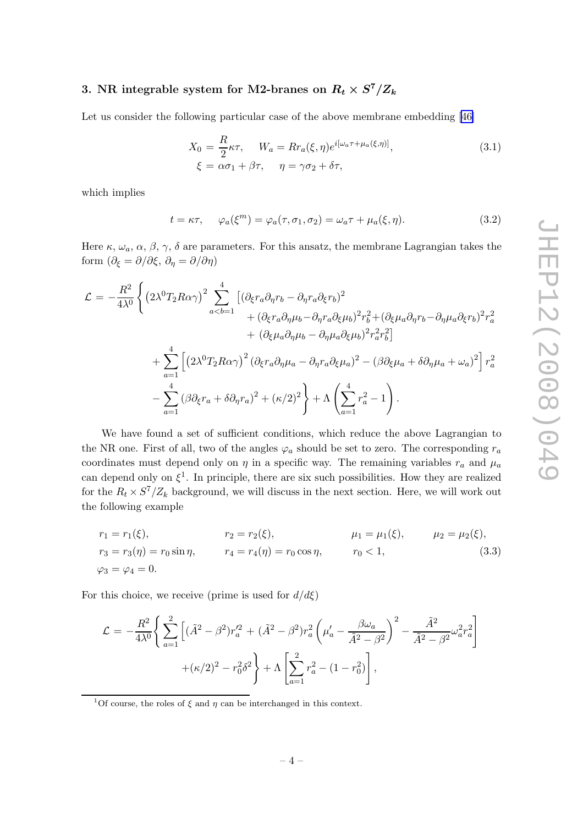# <span id="page-4-0"></span>3. NR integrable system for M2-branes on  $R_t \times S^7/Z_k$

Let us consider the following particular case of the above membrane embedding [\[46\]](#page-15-0)

$$
X_0 = \frac{R}{2}\kappa\tau, \qquad W_a = R r_a(\xi, \eta) e^{i[\omega_a \tau + \mu_a(\xi, \eta)]},
$$
  
\n
$$
\xi = \alpha \sigma_1 + \beta \tau, \qquad \eta = \gamma \sigma_2 + \delta \tau,
$$
\n(3.1)

which implies

$$
t = \kappa \tau, \quad \varphi_a(\xi^m) = \varphi_a(\tau, \sigma_1, \sigma_2) = \omega_a \tau + \mu_a(\xi, \eta). \tag{3.2}
$$

Here  $\kappa$ ,  $\omega_a$ ,  $\alpha$ ,  $\beta$ ,  $\gamma$ ,  $\delta$  are parameters. For this ansatz, the membrane Lagrangian takes the form  $(\partial_{\xi} = \partial/\partial \xi, \partial_{\eta} = \partial/\partial \eta)$ 

$$
\mathcal{L} = -\frac{R^2}{4\lambda^0} \left\{ \left( 2\lambda^0 T_2 R \alpha \gamma \right)^2 \sum_{a < b=1}^4 \left[ \left( \partial_{\xi} r_a \partial_{\eta} r_b - \partial_{\eta} r_a \partial_{\xi} r_b \right)^2 \right. \\ \left. + \left( \partial_{\xi} r_a \partial_{\eta} \mu_b - \partial_{\eta} r_a \partial_{\xi} \mu_b \right)^2 r_b^2 + \left( \partial_{\xi} \mu_a \partial_{\eta} r_b - \partial_{\eta} \mu_a \partial_{\xi} r_b \right)^2 r_a^2 \right. \\ \left. + \left( \partial_{\xi} \mu_a \partial_{\eta} \mu_b - \partial_{\eta} \mu_a \partial_{\xi} \mu_b \right)^2 r_a^2 r_b^2 \right] \\ \left. + \sum_{a=1}^4 \left[ \left( 2\lambda^0 T_2 R \alpha \gamma \right)^2 \left( \partial_{\xi} r_a \partial_{\eta} \mu_a - \partial_{\eta} r_a \partial_{\xi} \mu_a \right)^2 - \left( \beta \partial_{\xi} \mu_a + \delta \partial_{\eta} \mu_a + \omega_a \right)^2 \right] r_a^2 \right. \\ \left. - \sum_{a=1}^4 \left( \beta \partial_{\xi} r_a + \delta \partial_{\eta} r_a \right)^2 + \left( \kappa/2 \right)^2 \right\} + \Lambda \left( \sum_{a=1}^4 r_a^2 - 1 \right).
$$

We have found a set of sufficient conditions, which reduce the above Lagrangian to the NR one. First of all, two of the angles  $\varphi_a$  should be set to zero. The corresponding  $r_a$ coordinates must depend only on  $\eta$  in a specific way. The remaining variables  $r_a$  and  $\mu_a$ can depend only on  $\xi^1$ . In principle, there are six such possibilities. How they are realized for the  $R_t \times S^7/Z_k$  background, we will discuss in the next section. Here, we will work out the following example

$$
r_1 = r_1(\xi), \qquad r_2 = r_2(\xi), \qquad \mu_1 = \mu_1(\xi), \qquad \mu_2 = \mu_2(\xi),
$$
  
\n
$$
r_3 = r_3(\eta) = r_0 \sin \eta, \qquad r_4 = r_4(\eta) = r_0 \cos \eta, \qquad r_0 < 1,
$$
  
\n
$$
\varphi_3 = \varphi_4 = 0.
$$
\n(3.3)

For this choice, we receive (prime is used for  $d/d\xi$ )

$$
\mathcal{L} = -\frac{R^2}{4\lambda^0} \left\{ \sum_{a=1}^2 \left[ (\tilde{A}^2 - \beta^2) r_a'^2 + (\tilde{A}^2 - \beta^2) r_a^2 \left( \mu_a' - \frac{\beta \omega_a}{\tilde{A}^2 - \beta^2} \right)^2 - \frac{\tilde{A}^2}{\tilde{A}^2 - \beta^2} \omega_a^2 r_a^2 \right] + (\kappa/2)^2 - r_0^2 \delta^2 \right\} + \Lambda \left[ \sum_{a=1}^2 r_a^2 - (1 - r_0^2) \right],
$$

<sup>1</sup>Of course, the roles of  $\xi$  and  $\eta$  can be interchanged in this context.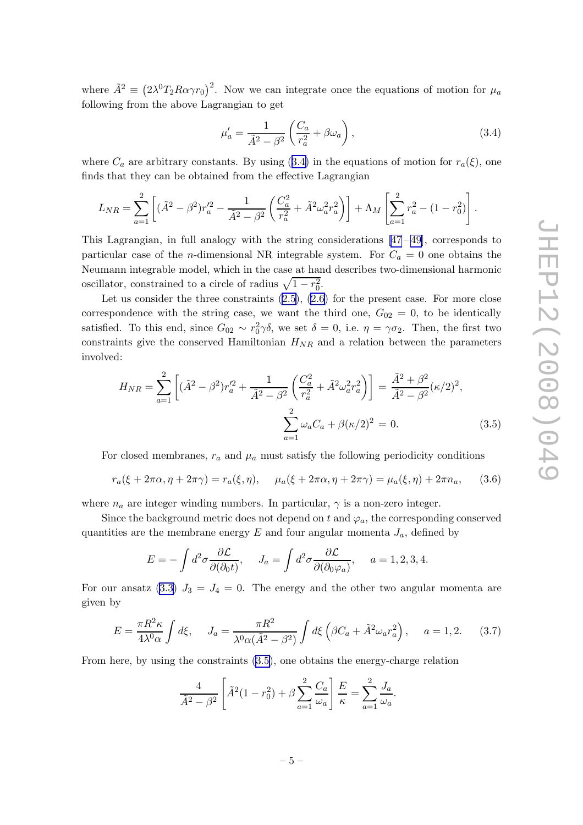<span id="page-5-0"></span>where  $\tilde{A}^2 \equiv (2\lambda^0 T_2 R \alpha \gamma r_0)^2$ . Now we can integrate once the equations of motion for  $\mu_a$ following from the above Lagrangian to get

$$
\mu'_a = \frac{1}{\tilde{A}^2 - \beta^2} \left( \frac{C_a}{r_a^2} + \beta \omega_a \right),\tag{3.4}
$$

where  $C_a$  are arbitrary constants. By using (3.4) in the equations of motion for  $r_a(\xi)$ , one finds that they can be obtained from the effective Lagrangian

$$
L_{NR} = \sum_{a=1}^{2} \left[ (\tilde{A}^2 - \beta^2) r_a'^2 - \frac{1}{\tilde{A}^2 - \beta^2} \left( \frac{C_a^2}{r_a^2} + \tilde{A}^2 \omega_a^2 r_a^2 \right) \right] + \Lambda_M \left[ \sum_{a=1}^{2} r_a^2 - (1 - r_0^2) \right].
$$

This Lagrangian, in full analogy with the string considerations  $[47-49]$ , corresponds to particular case of the *n*-dimensional NR integrable system. For  $C_a = 0$  one obtains the Neumann integrable model, which in the case at hand describes two-dimensional harmonic oscillator, constrained to a circle of radius  $\sqrt{1 - r_0^2}$ .

Let us consider the three constraints [\(2.5\)](#page-2-0), [\(2.6](#page-2-0)) for the present case. For more close correspondence with the string case, we want the third one,  $G_{02} = 0$ , to be identically satisfied. To this end, since  $G_{02} \sim r_0^2 \gamma \delta$ , we set  $\delta = 0$ , i.e.  $\eta = \gamma \sigma_2$ . Then, the first two constraints give the conserved Hamiltonian  $H_{NR}$  and a relation between the parameters involved:

$$
H_{NR} = \sum_{a=1}^{2} \left[ (\tilde{A}^2 - \beta^2) r_a'^2 + \frac{1}{\tilde{A}^2 - \beta^2} \left( \frac{C_a^2}{r_a^2} + \tilde{A}^2 \omega_a^2 r_a^2 \right) \right] = \frac{\tilde{A}^2 + \beta^2}{\tilde{A}^2 - \beta^2} (\kappa/2)^2,
$$

$$
\sum_{a=1}^{2} \omega_a C_a + \beta (\kappa/2)^2 = 0.
$$
 (3.5)

For closed membranes,  $r_a$  and  $\mu_a$  must satisfy the following periodicity conditions

$$
r_a(\xi + 2\pi\alpha, \eta + 2\pi\gamma) = r_a(\xi, \eta), \quad \mu_a(\xi + 2\pi\alpha, \eta + 2\pi\gamma) = \mu_a(\xi, \eta) + 2\pi n_a, \quad (3.6)
$$

where  $n_a$  are integer winding numbers. In particular,  $\gamma$  is a non-zero integer.

Since the background metric does not depend on t and  $\varphi_a$ , the corresponding conserved quantities are the membrane energy  $E$  and four angular momenta  $J_a$ , defined by

$$
E = -\int d^2\sigma \frac{\partial \mathcal{L}}{\partial(\partial_0 t)}, \quad J_a = \int d^2\sigma \frac{\partial \mathcal{L}}{\partial(\partial_0 \varphi_a)}, \quad a = 1, 2, 3, 4.
$$

For our ansatz [\(3.3\)](#page-4-0)  $J_3 = J_4 = 0$ . The energy and the other two angular momenta are given by

$$
E = \frac{\pi R^2 \kappa}{4\lambda^0 \alpha} \int d\xi, \quad J_a = \frac{\pi R^2}{\lambda^0 \alpha (\tilde{A}^2 - \beta^2)} \int d\xi \left( \beta C_a + \tilde{A}^2 \omega_a r_a^2 \right), \quad a = 1, 2. \tag{3.7}
$$

From here, by using the constraints (3.5), one obtains the energy-charge relation

$$
\frac{4}{\tilde{A}^2 - \beta^2} \left[ \tilde{A}^2 (1 - r_0^2) + \beta \sum_{a=1}^2 \frac{C_a}{\omega_a} \right] \frac{E}{\kappa} = \sum_{a=1}^2 \frac{J_a}{\omega_a}.
$$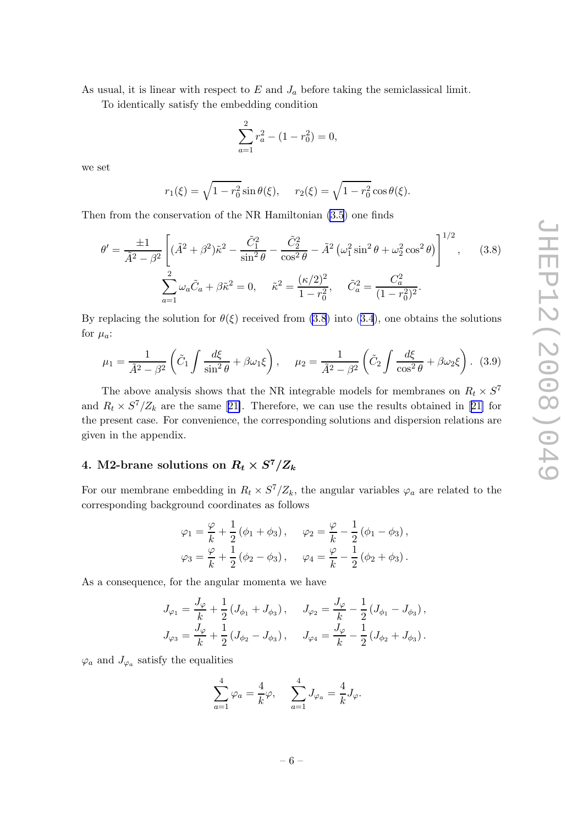<span id="page-6-0"></span>As usual, it is linear with respect to  $E$  and  $J_a$  before taking the semiclassical limit.

To identically satisfy the embedding condition

$$
\sum_{a=1}^{2} r_a^2 - (1 - r_0^2) = 0,
$$

we set

$$
r_1(\xi) = \sqrt{1 - r_0^2} \sin \theta(\xi), \quad r_2(\xi) = \sqrt{1 - r_0^2} \cos \theta(\xi).
$$

Then from the conservation of the NR Hamiltonian [\(3.5](#page-5-0)) one finds

$$
\theta' = \frac{\pm 1}{\tilde{A}^2 - \beta^2} \left[ (\tilde{A}^2 + \beta^2) \tilde{\kappa}^2 - \frac{\tilde{C}_1^2}{\sin^2 \theta} - \frac{\tilde{C}_2^2}{\cos^2 \theta} - \tilde{A}^2 \left( \omega_1^2 \sin^2 \theta + \omega_2^2 \cos^2 \theta \right) \right]^{1/2}, \quad (3.8)
$$

$$
\sum_{a=1}^2 \omega_a \tilde{C}_a + \beta \tilde{\kappa}^2 = 0, \quad \tilde{\kappa}^2 = \frac{(\kappa/2)^2}{1 - r_0^2}, \quad \tilde{C}_a^2 = \frac{C_a^2}{(1 - r_0^2)^2}.
$$

By replacing the solution for  $\theta(\xi)$  received from (3.8) into ([3.4](#page-5-0)), one obtains the solutions for  $\mu_a$ :

$$
\mu_1 = \frac{1}{\tilde{A}^2 - \beta^2} \left( \tilde{C}_1 \int \frac{d\xi}{\sin^2 \theta} + \beta \omega_1 \xi \right), \quad \mu_2 = \frac{1}{\tilde{A}^2 - \beta^2} \left( \tilde{C}_2 \int \frac{d\xi}{\cos^2 \theta} + \beta \omega_2 \xi \right). \tag{3.9}
$$

The above analysis shows that the NR integrable models for membranes on  $R_t \times S^7$ and $R_t \times S^7/Z_k$  are the same [[21\]](#page-14-0). Therefore, we can use the results obtained in [21] for the present case. For convenience, the corresponding solutions and dispersion relations are given in the appendix.

# 4. M2-brane solutions on  $R_t \times S^7/Z_k$

For our membrane embedding in  $R_t \times S^7/Z_k$ , the angular variables  $\varphi_a$  are related to the corresponding background coordinates as follows

$$
\varphi_1 = \frac{\varphi}{k} + \frac{1}{2} (\phi_1 + \phi_3), \quad \varphi_2 = \frac{\varphi}{k} - \frac{1}{2} (\phi_1 - \phi_3),
$$
  
\n $\varphi_3 = \frac{\varphi}{k} + \frac{1}{2} (\phi_2 - \phi_3), \quad \varphi_4 = \frac{\varphi}{k} - \frac{1}{2} (\phi_2 + \phi_3).$ 

As a consequence, for the angular momenta we have

$$
J_{\varphi_1} = \frac{J_{\varphi}}{k} + \frac{1}{2} (J_{\phi_1} + J_{\phi_3}), \quad J_{\varphi_2} = \frac{J_{\varphi}}{k} - \frac{1}{2} (J_{\phi_1} - J_{\phi_3}),
$$
  

$$
J_{\varphi_3} = \frac{J_{\varphi}}{k} + \frac{1}{2} (J_{\phi_2} - J_{\phi_3}), \quad J_{\varphi_4} = \frac{J_{\varphi}}{k} - \frac{1}{2} (J_{\phi_2} + J_{\phi_3}).
$$

 $\varphi_a$  and  $J_{\varphi_a}$  satisfy the equalities

$$
\sum_{a=1}^{4} \varphi_a = \frac{4}{k} \varphi, \quad \sum_{a=1}^{4} J_{\varphi_a} = \frac{4}{k} J_{\varphi}.
$$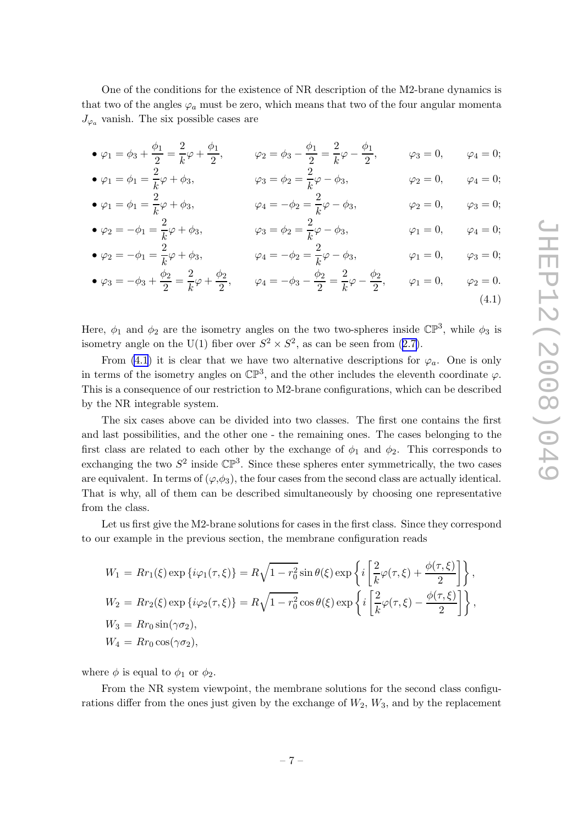<span id="page-7-0"></span>One of the conditions for the existence of NR description of the M2-brane dynamics is that two of the angles  $\varphi_a$  must be zero, which means that two of the four angular momenta  $J_{\varphi_a}$  vanish. The six possible cases are

- $\varphi_1 = \phi_3 + \frac{\phi_1}{2}$  $\frac{b_1}{2} = \frac{2}{k}$  $\frac{2}{k}\varphi+\frac{\phi_1}{2}$  $\frac{\phi_1}{2}$ ,  $\varphi_2 = \phi_3 - \frac{\phi_1}{2}$  $\frac{b_1}{2} = \frac{2}{k}$  $\frac{2}{k} \varphi - \frac{\phi_1}{2}$  $\frac{\varphi_1}{2}$ ,  $\varphi_3 = 0$ ,  $\varphi_4 = 0$ ;
- $\bullet$   $\varphi_1 = \phi_1 = \frac{2}{k}$  $\frac{2}{k}\varphi + \phi_3,$   $\varphi_3 = \phi_2 = \frac{2}{k}$  $\frac{1}{k}\varphi - \phi_3,$   $\varphi_2 = 0,$   $\varphi_4 = 0;$
- $\bullet$   $\varphi_1 = \phi_1 = \frac{2}{k}$  $\frac{2}{k}\varphi + \phi_3,$   $\varphi_4 = -\phi_2 = \frac{2}{k}$  $\frac{\pi}{k}\varphi - \phi_3,$   $\varphi_2 = 0,$   $\varphi_3 = 0;$  $\bullet$   $\varphi_2 = -\phi_1 = \frac{2}{k}$  $\frac{2}{k}\varphi + \phi_3,$   $\varphi_3 = \phi_2 = \frac{2}{k}$  $\frac{1}{k}\varphi - \phi_3,$   $\varphi_1 = 0,$   $\varphi_4 = 0;$
- $\bullet$   $\varphi_2 = -\phi_1 = \frac{2}{k}$  $\frac{2}{k}\varphi + \phi_3,$   $\varphi_4 = -\phi_2 = \frac{2}{k}$  $\frac{\pi}{k}\varphi - \phi_3,$   $\varphi_1 = 0,$   $\varphi_3 = 0;$

• 
$$
\varphi_3 = -\phi_3 + \frac{\phi_2}{2} = \frac{2}{k}\varphi + \frac{\phi_2}{2}, \qquad \varphi_4 = -\phi_3 - \frac{\phi_2}{2} = \frac{2}{k}\varphi - \frac{\phi_2}{2}, \qquad \varphi_1 = 0, \qquad \varphi_2 = 0.
$$
\n
$$
(4.1)
$$

Here,  $\phi_1$  and  $\phi_2$  are the isometry angles on the two two-spheres inside  $\mathbb{CP}^3$ , while  $\phi_3$  is isometry angle on the U(1) fiber over  $S^2 \times S^2$ , as can be seen from ([2.7\)](#page-3-0).

From (4.1) it is clear that we have two alternative descriptions for  $\varphi_a$ . One is only in terms of the isometry angles on  $\mathbb{CP}^3$ , and the other includes the eleventh coordinate  $\varphi$ . This is a consequence of our restriction to M2-brane configurations, which can be described by the NR integrable system.

The six cases above can be divided into two classes. The first one contains the first and last possibilities, and the other one - the remaining ones. The cases belonging to the first class are related to each other by the exchange of  $\phi_1$  and  $\phi_2$ . This corresponds to exchanging the two  $S^2$  inside  $\mathbb{CP}^3$ . Since these spheres enter symmetrically, the two cases are equivalent. In terms of  $(\varphi, \phi_3)$ , the four cases from the second class are actually identical. That is why, all of them can be described simultaneously by choosing one representative from the class.

Let us first give the M2-brane solutions for cases in the first class. Since they correspond to our example in the previous section, the membrane configuration reads

$$
W_1 = Rr_1(\xi) \exp\left\{i\varphi_1(\tau,\xi)\right\} = R\sqrt{1 - r_0^2} \sin\theta(\xi) \exp\left\{i\left[\frac{2}{k}\varphi(\tau,\xi) + \frac{\phi(\tau,\xi)}{2}\right]\right\},
$$
  
\n
$$
W_2 = Rr_2(\xi) \exp\left\{i\varphi_2(\tau,\xi)\right\} = R\sqrt{1 - r_0^2} \cos\theta(\xi) \exp\left\{i\left[\frac{2}{k}\varphi(\tau,\xi) - \frac{\phi(\tau,\xi)}{2}\right]\right\},
$$
  
\n
$$
W_3 = Rr_0 \sin(\gamma \sigma_2),
$$
  
\n
$$
W_4 = Rr_0 \cos(\gamma \sigma_2),
$$

where  $\phi$  is equal to  $\phi_1$  or  $\phi_2$ .

From the NR system viewpoint, the membrane solutions for the second class configurations differ from the ones just given by the exchange of  $W_2$ ,  $W_3$ , and by the replacement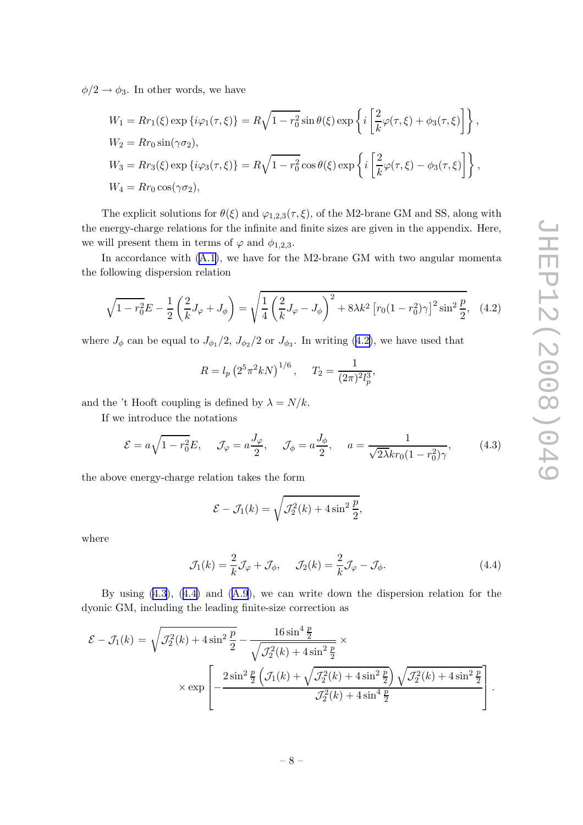<span id="page-8-0"></span> $\phi/2 \rightarrow \phi_3$ . In other words, we have

$$
W_1 = Rr_1(\xi) \exp \{i\varphi_1(\tau, \xi)\} = R\sqrt{1 - r_0^2} \sin \theta(\xi) \exp \left\{i\left[\frac{2}{k}\varphi(\tau, \xi) + \phi_3(\tau, \xi)\right]\right\},
$$
  
\n
$$
W_2 = Rr_0 \sin(\gamma \sigma_2),
$$
  
\n
$$
W_3 = Rr_3(\xi) \exp \{i\varphi_3(\tau, \xi)\} = R\sqrt{1 - r_0^2} \cos \theta(\xi) \exp \left\{i\left[\frac{2}{k}\varphi(\tau, \xi) - \phi_3(\tau, \xi)\right]\right\},
$$
  
\n
$$
W_4 = Rr_0 \cos(\gamma \sigma_2),
$$

The explicit solutions for  $\theta(\xi)$  and  $\varphi_{1,2,3}(\tau,\xi)$ , of the M2-brane GM and SS, along with the energy-charge relations for the infinite and finite sizes are given in the appendix. Here, we will present them in terms of  $\varphi$  and  $\phi_{1,2,3}$ .

In accordance with  $(A.1)$ , we have for the M2-brane GM with two angular momenta the following dispersion relation

$$
\sqrt{1 - r_0^2} E - \frac{1}{2} \left(\frac{2}{k} J_\varphi + J_\phi\right) = \sqrt{\frac{1}{4} \left(\frac{2}{k} J_\varphi - J_\phi\right)^2 + 8\lambda k^2 \left[r_0 (1 - r_0^2) \gamma\right]^2 \sin^2 \frac{p}{2}},\tag{4.2}
$$

where  $J_{\phi}$  can be equal to  $J_{\phi_1}/2$ ,  $J_{\phi_2}/2$  or  $J_{\phi_3}$ . In writing (4.2), we have used that

$$
R = l_p \left( 2^5 \pi^2 k N \right)^{1/6}, \quad T_2 = \frac{1}{(2\pi)^2 l_p^3},
$$

and the 't Hooft coupling is defined by  $\lambda = N/k$ .

If we introduce the notations

$$
\mathcal{E} = a\sqrt{1 - r_0^2}E, \quad \mathcal{J}_{\varphi} = a\frac{J_{\varphi}}{2}, \quad \mathcal{J}_{\phi} = a\frac{J_{\phi}}{2}, \quad a = \frac{1}{\sqrt{2\lambda}kr_0(1 - r_0^2)\gamma}, \quad (4.3)
$$

the above energy-charge relation takes the form

$$
\mathcal{E} - \mathcal{J}_1(k) = \sqrt{\mathcal{J}_2^2(k) + 4\sin^2\frac{p}{2}},
$$

where

$$
\mathcal{J}_1(k) = \frac{2}{k}\mathcal{J}_\varphi + \mathcal{J}_\phi, \quad \mathcal{J}_2(k) = \frac{2}{k}\mathcal{J}_\varphi - \mathcal{J}_\phi.
$$
 (4.4)

By using (4.3), (4.4) and ([A.9](#page-12-0)), we can write down the dispersion relation for the dyonic GM, including the leading finite-size correction as

$$
\mathcal{E} - \mathcal{J}_1(k) = \sqrt{\mathcal{J}_2^2(k) + 4\sin^2\frac{p}{2}} - \frac{16\sin^4\frac{p}{2}}{\sqrt{\mathcal{J}_2^2(k) + 4\sin^2\frac{p}{2}}} \times \exp\left[ -\frac{2\sin^2\frac{p}{2}\left(\mathcal{J}_1(k) + \sqrt{\mathcal{J}_2^2(k) + 4\sin^2\frac{p}{2}}\right)\sqrt{\mathcal{J}_2^2(k) + 4\sin^2\frac{p}{2}}}{\mathcal{J}_2^2(k) + 4\sin^4\frac{p}{2}} \right].
$$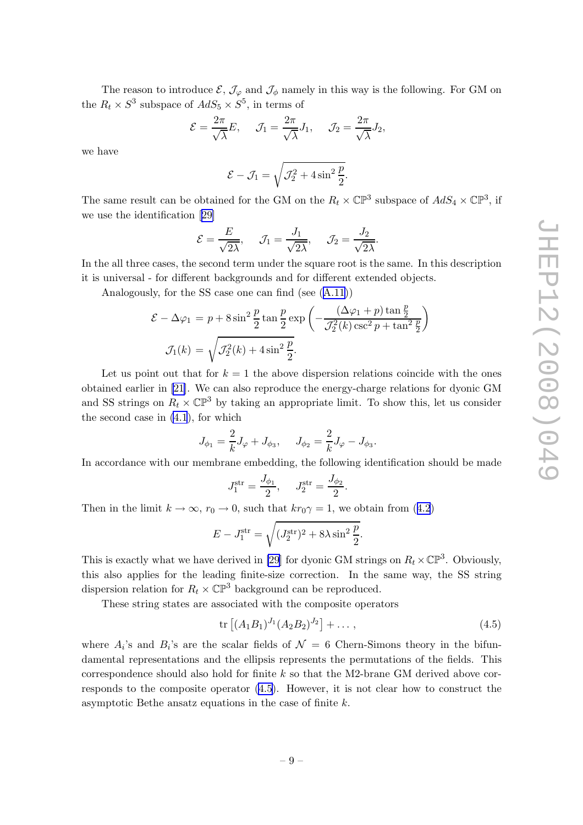The reason to introduce  $\mathcal{E}, \mathcal{J}_{\varphi}$  and  $\mathcal{J}_{\phi}$  namely in this way is the following. For GM on the  $R_t \times S^3$  subspace of  $AdS_5 \times S^5$ , in terms of

$$
\mathcal{E} = \frac{2\pi}{\sqrt{\lambda}} E, \quad \mathcal{J}_1 = \frac{2\pi}{\sqrt{\lambda}} J_1, \quad \mathcal{J}_2 = \frac{2\pi}{\sqrt{\lambda}} J_2,
$$

we have

$$
\mathcal{E} - \mathcal{J}_1 = \sqrt{\mathcal{J}_2^2 + 4\sin^2\frac{p}{2}}.
$$

The same result can be obtained for the GM on the  $R_t \times \mathbb{CP}^3$  subspace of  $AdS_4 \times \mathbb{CP}^3$ , if we use the identification[[29\]](#page-15-0)

$$
\mathcal{E} = \frac{E}{\sqrt{2\lambda}}, \quad \mathcal{J}_1 = \frac{J_1}{\sqrt{2\lambda}}, \quad \mathcal{J}_2 = \frac{J_2}{\sqrt{2\lambda}}.
$$

In the all three cases, the second term under the square root is the same. In this description it is universal - for different backgrounds and for different extended objects.

Analogously, for the SS case one can find (see ([A.11\)](#page-13-0))

$$
\mathcal{E} - \Delta \varphi_1 = p + 8 \sin^2 \frac{p}{2} \tan \frac{p}{2} \exp \left( -\frac{(\Delta \varphi_1 + p) \tan \frac{p}{2}}{\mathcal{J}_2^2(k) \csc^2 p + \tan^2 \frac{p}{2}} \right)
$$

$$
\mathcal{J}_1(k) = \sqrt{\mathcal{J}_2^2(k) + 4 \sin^2 \frac{p}{2}}.
$$

Let us point out that for  $k = 1$  the above dispersion relations coincide with the ones obtained earlier in [\[21\]](#page-14-0). We can also reproduce the energy-charge relations for dyonic GM and SS strings on  $R_t \times \mathbb{CP}^3$  by taking an appropriate limit. To show this, let us consider the second case in [\(4.1](#page-7-0)), for which

$$
J_{\phi_1}=\frac{2}{k}J_{\varphi}+J_{\phi_3},\quad \ J_{\phi_2}=\frac{2}{k}J_{\varphi}-J_{\phi_3}.
$$

In accordance with our membrane embedding, the following identification should be made

$$
J_1^{\text{str}} = \frac{J_{\phi_1}}{2}, \quad J_2^{\text{str}} = \frac{J_{\phi_2}}{2}
$$

Then in the limit  $k \to \infty$ ,  $r_0 \to 0$ , such that  $kr_0 \gamma = 1$ , we obtain from ([4.2](#page-8-0))

$$
E - J_1^{\text{str}} = \sqrt{(J_2^{\text{str}})^2 + 8\lambda \sin^2 \frac{p}{2}}.
$$

This is exactly what we have derived in [\[29](#page-15-0)] for dyonic GM strings on  $R_t \times \mathbb{CP}^3$ . Obviously, this also applies for the leading finite-size correction. In the same way, the SS string dispersion relation for  $R_t \times \mathbb{CP}^3$  background can be reproduced.

These string states are associated with the composite operators

$$
\text{tr}\left[ (A_1 B_1)^{J_1} (A_2 B_2)^{J_2} \right] + \dots \,, \tag{4.5}
$$

.

where  $A_i$ 's and  $B_i$ 's are the scalar fields of  $\mathcal{N} = 6$  Chern-Simons theory in the bifundamental representations and the ellipsis represents the permutations of the fields. This correspondence should also hold for finite  $k$  so that the M2-brane GM derived above corresponds to the composite operator (4.5). However, it is not clear how to construct the asymptotic Bethe ansatz equations in the case of finite k.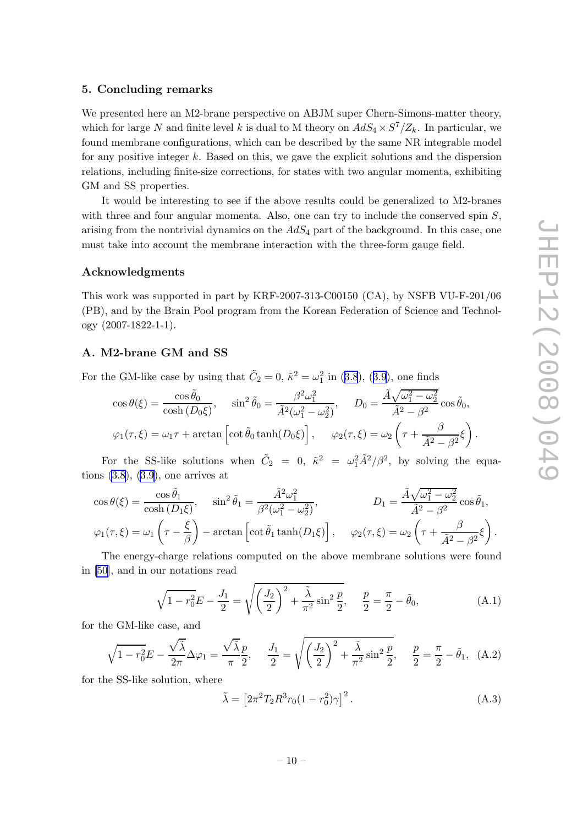# <span id="page-10-0"></span>5. Concluding remarks

We presented here an M2-brane perspective on ABJM super Chern-Simons-matter theory, which for large N and finite level k is dual to M theory on  $AdS_4 \times S^7/Z_k$ . In particular, we found membrane configurations, which can be described by the same NR integrable model for any positive integer  $k$ . Based on this, we gave the explicit solutions and the dispersion relations, including finite-size corrections, for states with two angular momenta, exhibiting GM and SS properties.

It would be interesting to see if the above results could be generalized to M2-branes with three and four angular momenta. Also, one can try to include the conserved spin  $S$ , arising from the nontrivial dynamics on the  $AdS_4$  part of the background. In this case, one must take into account the membrane interaction with the three-form gauge field.

## Acknowledgments

This work was supported in part by KRF-2007-313-C00150 (CA), by NSFB VU-F-201/06 (PB), and by the Brain Pool program from the Korean Federation of Science and Technology (2007-1822-1-1).

#### A. M2-brane GM and SS

For the GM-like case by using that  $\tilde{C}_2 = 0$ ,  $\tilde{\kappa}^2 = \omega_1^2$  in ([3.8](#page-6-0)), ([3.9](#page-6-0)), one finds

$$
\cos \theta(\xi) = \frac{\cos \tilde{\theta}_0}{\cosh(D_0\xi)}, \quad \sin^2 \tilde{\theta}_0 = \frac{\beta^2 \omega_1^2}{\tilde{A}^2(\omega_1^2 - \omega_2^2)}, \quad D_0 = \frac{\tilde{A}\sqrt{\omega_1^2 - \omega_2^2}}{\tilde{A}^2 - \beta^2} \cos \tilde{\theta}_0,
$$
  

$$
\varphi_1(\tau, \xi) = \omega_1 \tau + \arctan\left[\cot \tilde{\theta}_0 \tanh(D_0\xi)\right], \quad \varphi_2(\tau, \xi) = \omega_2 \left(\tau + \frac{\beta}{\tilde{A}^2 - \beta^2}\xi\right).
$$

For the SS-like solutions when  $\tilde{C}_2 = 0$ ,  $\tilde{\kappa}^2 = \omega_1^2 \tilde{A}^2 / \beta^2$ , by solving the equations  $(3.8)$  $(3.8)$ ,  $(3.9)$  $(3.9)$ , one arrives at

$$
\cos \theta(\xi) = \frac{\cos \tilde{\theta}_1}{\cosh(D_1\xi)}, \quad \sin^2 \tilde{\theta}_1 = \frac{\tilde{A}^2 \omega_1^2}{\beta^2(\omega_1^2 - \omega_2^2)}, \qquad D_1 = \frac{\tilde{A}\sqrt{\omega_1^2 - \omega_2^2}}{\tilde{A}^2 - \beta^2} \cos \tilde{\theta}_1,
$$
  

$$
\varphi_1(\tau, \xi) = \omega_1 \left(\tau - \frac{\xi}{\beta}\right) - \arctan\left[\cot \tilde{\theta}_1 \tanh(D_1\xi)\right], \qquad \varphi_2(\tau, \xi) = \omega_2 \left(\tau + \frac{\beta}{\tilde{A}^2 - \beta^2}\xi\right).
$$

The energy-charge relations computed on the above membrane solutions were found in [\[50\]](#page-16-0), and in our notations read

$$
\sqrt{1 - r_0^2} E - \frac{J_1}{2} = \sqrt{\left(\frac{J_2}{2}\right)^2 + \frac{\tilde{\lambda}}{\pi^2} \sin^2 \frac{p}{2}}, \quad \frac{p}{2} = \frac{\pi}{2} - \tilde{\theta}_0,
$$
\n(A.1)

for the GM-like case, and

$$
\sqrt{1 - r_0^2} E - \frac{\sqrt{\tilde{\lambda}}}{2\pi} \Delta \varphi_1 = \frac{\sqrt{\tilde{\lambda}} p}{\pi \ 2}, \quad \frac{J_1}{2} = \sqrt{\left(\frac{J_2}{2}\right)^2 + \frac{\tilde{\lambda}}{\pi^2} \sin^2 \frac{p}{2}}, \quad \frac{p}{2} = \frac{\pi}{2} - \tilde{\theta}_1, \quad (A.2)
$$

for the SS-like solution, where

$$
\tilde{\lambda} = \left[2\pi^2 T_2 R^3 r_0 (1 - r_0^2) \gamma\right]^2.
$$
\n(A.3)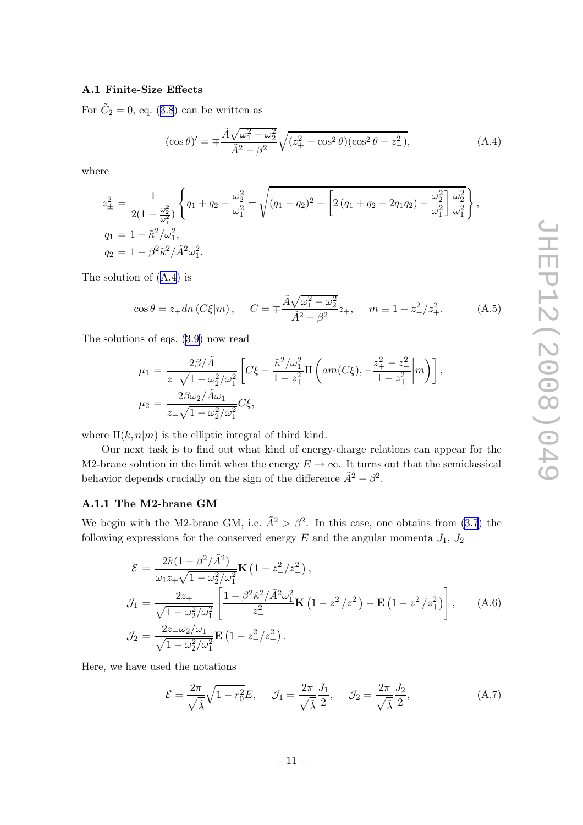## <span id="page-11-0"></span>A.1 Finite-Size Effects

For  $\tilde{C}_2 = 0$ , eq. ([3.8](#page-6-0)) can be written as

$$
(\cos \theta)' = \pm \frac{\tilde{A}\sqrt{\omega_1^2 - \omega_2^2}}{\tilde{A}^2 - \beta^2} \sqrt{(z_+^2 - \cos^2 \theta)(\cos^2 \theta - z_-^2)},
$$
(A.4)

where

$$
z_{\pm}^{2} = \frac{1}{2(1 - \frac{\omega_{2}^{2}}{\omega_{1}^{2}})} \left\{ q_{1} + q_{2} - \frac{\omega_{2}^{2}}{\omega_{1}^{2}} \pm \sqrt{(q_{1} - q_{2})^{2} - \left[ 2(q_{1} + q_{2} - 2q_{1}q_{2}) - \frac{\omega_{2}^{2}}{\omega_{1}^{2}} \right] \frac{\omega_{2}^{2}}{\omega_{1}^{2}} \right\},
$$
  
\n
$$
q_{1} = 1 - \tilde{\kappa}^{2}/\omega_{1}^{2},
$$
  
\n
$$
q_{2} = 1 - \beta^{2} \tilde{\kappa}^{2} / \tilde{A}^{2} \omega_{1}^{2}.
$$

The solution of (A.4) is

$$
\cos \theta = z_+ dn \left( C \xi | m \right), \quad C = \pm \frac{\tilde{A} \sqrt{\omega_1^2 - \omega_2^2}}{\tilde{A}^2 - \beta^2} z_+, \quad m \equiv 1 - z_-^2 / z_+^2. \tag{A.5}
$$

The solutions of eqs. [\(3.9](#page-6-0)) now read

$$
\mu_1 = \frac{2\beta/\tilde{A}}{z_+\sqrt{1-\omega_2^2/\omega_1^2}} \left[ C\xi - \frac{\tilde{\kappa}^2/\omega_1^2}{1-z_+^2} \Pi \left( am(C\xi), -\frac{z_+^2-z_-^2}{1-z_+^2} \middle| m \right) \right],
$$
  
\n
$$
\mu_2 = \frac{2\beta\omega_2/\tilde{A}\omega_1}{z_+\sqrt{1-\omega_2^2/\omega_1^2}} C\xi,
$$

where  $\Pi(k,n|m)$  is the elliptic integral of third kind.

Our next task is to find out what kind of energy-charge relations can appear for the M2-brane solution in the limit when the energy  $E \to \infty$ . It turns out that the semiclassical behavior depends crucially on the sign of the difference  $\tilde{A}^2 - \beta^2$ .

# A.1.1 The M2-brane GM

We begin with the M2-brane GM, i.e.  $\tilde{A}^2 > \beta^2$ . In this case, one obtains from [\(3.7](#page-5-0)) the following expressions for the conserved energy  $E$  and the angular momenta  $J_1$ ,  $J_2$ 

$$
\mathcal{E} = \frac{2\tilde{\kappa}(1 - \beta^2/\tilde{A}^2)}{\omega_1 z_+ \sqrt{1 - \omega_2^2/\omega_1^2}} \mathbf{K} \left(1 - z_-^2/z_+^2\right),
$$
\n
$$
\mathcal{J}_1 = \frac{2z_+}{\sqrt{1 - \omega_2^2/\omega_1^2}} \left[ \frac{1 - \beta^2 \tilde{\kappa}^2/\tilde{A}^2 \omega_1^2}{z_+^2} \mathbf{K} \left(1 - z_-^2/z_+^2\right) - \mathbf{E} \left(1 - z_-^2/z_+^2\right) \right], \quad (A.6)
$$
\n
$$
\mathcal{J}_2 = \frac{2z_+ \omega_2/\omega_1}{\sqrt{1 - \omega_2^2/\omega_1^2}} \mathbf{E} \left(1 - z_-^2/z_+^2\right).
$$

Here, we have used the notations

$$
\mathcal{E} = \frac{2\pi}{\sqrt{\tilde{\lambda}}} \sqrt{1 - r_0^2} E, \quad \mathcal{J}_1 = \frac{2\pi}{\sqrt{\tilde{\lambda}}} \frac{J_1}{2}, \quad \mathcal{J}_2 = \frac{2\pi}{\sqrt{\tilde{\lambda}}} \frac{J_2}{2}, \tag{A.7}
$$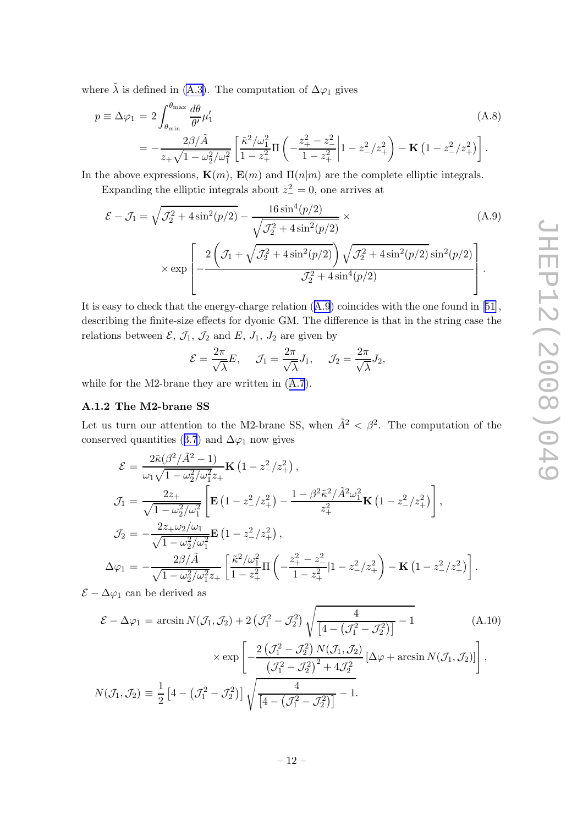<span id="page-12-0"></span>where  $\tilde{\lambda}$  is defined in [\(A.3\)](#page-10-0). The computation of  $\Delta\varphi_1$  gives

$$
p \equiv \Delta \varphi_1 = 2 \int_{\theta_{\min}}^{\theta_{\max}} \frac{d\theta}{\theta'} \mu'_1
$$
\n
$$
= -\frac{2\beta/\tilde{A}}{z_+\sqrt{1-\omega_2^2/\omega_1^2}} \left[ \frac{\tilde{\kappa}^2/\omega_1^2}{1-z_+^2} \Pi \left( -\frac{z_+^2 - z_-^2}{1-z_+^2} \middle| 1 - z_-^2/z_+^2 \right) - \mathbf{K} \left( 1 - z_-^2/z_+^2 \right) \right].
$$
\n(A.8)

In the above expressions,  $\mathbf{K}(m)$ ,  $\mathbf{E}(m)$  and  $\Pi(n|m)$  are the complete elliptic integrals.

Expanding the elliptic integrals about  $z^2 = 0$ , one arrives at

$$
\mathcal{E} - \mathcal{J}_1 = \sqrt{\mathcal{J}_2^2 + 4\sin^2(p/2)} - \frac{16\sin^4(p/2)}{\sqrt{\mathcal{J}_2^2 + 4\sin^2(p/2)}} \times \left( A.9 \right)
$$
  
 
$$
\times \exp\left[ -\frac{2\left(\mathcal{J}_1 + \sqrt{\mathcal{J}_2^2 + 4\sin^2(p/2)}\right)\sqrt{\mathcal{J}_2^2 + 4\sin^2(p/2)}\sin^2(p/2)}{\mathcal{J}_2^2 + 4\sin^4(p/2)} \right].
$$
 (A.9)

It is easy to check that the energy-charge relation (A.9) coincides with the one found in[[51\]](#page-16-0), describing the finite-size effects for dyonic GM. The difference is that in the string case the relations between  $\mathcal{E}, \mathcal{J}_1, \mathcal{J}_2$  and  $E, J_1, J_2$  are given by

$$
\mathcal{E} = \frac{2\pi}{\sqrt{\lambda}} E, \quad \mathcal{J}_1 = \frac{2\pi}{\sqrt{\lambda}} J_1, \quad \mathcal{J}_2 = \frac{2\pi}{\sqrt{\lambda}} J_2,
$$

while for the M2-brane they are written in ([A.7](#page-11-0)).

#### A.1.2 The M2-brane SS

Let us turn our attention to the M2-brane SS, when  $\tilde{A}^2 < \beta^2$ . The computation of the conserved quantities ([3.7](#page-5-0)) and  $\Delta\varphi_1$  now gives

$$
\mathcal{E} = \frac{2\tilde{\kappa}(\beta^2/\tilde{A}^2 - 1)}{\omega_1\sqrt{1 - \omega_2^2/\omega_1^2}z_+} \mathbf{K} (1 - z_-^2/z_+^2),
$$
\n
$$
\mathcal{J}_1 = \frac{2z_+}{\sqrt{1 - \omega_2^2/\omega_1^2}} \left[ \mathbf{E} (1 - z_-^2/z_+^2) - \frac{1 - \beta^2 \tilde{\kappa}^2/\tilde{A}^2 \omega_1^2}{z_+^2} \mathbf{K} (1 - z_-^2/z_+^2) \right],
$$
\n
$$
\mathcal{J}_2 = -\frac{2z_+ \omega_2/\omega_1}{\sqrt{1 - \omega_2^2/\omega_1^2}} \mathbf{E} (1 - z_-^2/z_+^2),
$$
\n
$$
\Delta \varphi_1 = -\frac{2\beta/\tilde{A}}{\sqrt{1 - \omega_2^2/\omega_1^2}z_+} \left[ \frac{\tilde{\kappa}^2/\omega_1^2}{1 - z_+^2} \Pi \left( -\frac{z_+^2 - z_-^2}{1 - z_+^2} |1 - z_-^2/z_+^2 \right) - \mathbf{K} (1 - z_-^2/z_+^2) \right].
$$

 $\mathcal{E} - \Delta \varphi_1$  can be derived as

$$
\mathcal{E} - \Delta \varphi_1 = \arcsin N(\mathcal{J}_1, \mathcal{J}_2) + 2(\mathcal{J}_1^2 - \mathcal{J}_2^2) \sqrt{\frac{4}{[4 - (\mathcal{J}_1^2 - \mathcal{J}_2^2)]}} - 1
$$
\n
$$
\times \exp\left[ -\frac{2(\mathcal{J}_1^2 - \mathcal{J}_2^2) N(\mathcal{J}_1, \mathcal{J}_2)}{(\mathcal{J}_1^2 - \mathcal{J}_2^2)^2 + 4\mathcal{J}_2^2} [\Delta \varphi + \arcsin N(\mathcal{J}_1, \mathcal{J}_2)] \right],
$$
\n
$$
N(\mathcal{J}_1, \mathcal{J}_2) \equiv \frac{1}{2} \left[ 4 - (\mathcal{J}_1^2 - \mathcal{J}_2^2) \right] \sqrt{\frac{4}{[4 - (\mathcal{J}_1^2 - \mathcal{J}_2^2)]}} - 1.
$$
\n(A.10)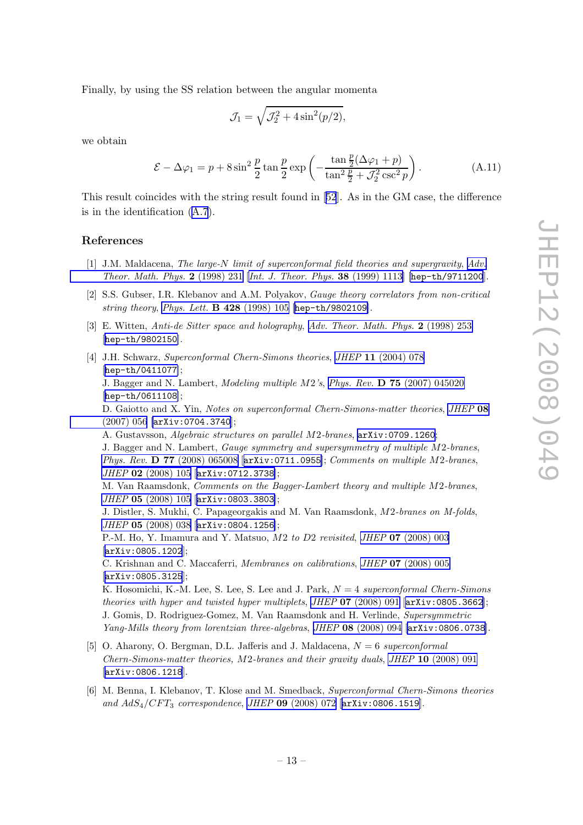<span id="page-13-0"></span>Finally, by using the SS relation between the angular momenta

$$
\mathcal{J}_1 = \sqrt{\mathcal{J}_2^2 + 4\sin^2(p/2)},
$$

we obtain

$$
\mathcal{E} - \Delta \varphi_1 = p + 8 \sin^2 \frac{p}{2} \tan \frac{p}{2} \exp \left( -\frac{\tan \frac{p}{2} (\Delta \varphi_1 + p)}{\tan^2 \frac{p}{2} + \mathcal{J}_2^2 \csc^2 p} \right). \tag{A.11}
$$

This result coincides with the string result found in[[52](#page-16-0)]. As in the GM case, the difference is in the identification ([A.7](#page-11-0)).

### References

- [1] J.M. Maldacena, The large-N limit of superconformal field theories and supergravity, [Adv.](http://www-spires.slac.stanford.edu/spires/find/hep/www?j=00203%2C2%2C231) [Theor. Math. Phys.](http://www-spires.slac.stanford.edu/spires/find/hep/www?j=00203%2C2%2C231) 2 (1998) 231 [[Int. J. Theor. Phys.](http://www-spires.slac.stanford.edu/spires/find/hep/www?j=IJTPB%2C38%2C1113) 38 (1999) 1113] [[hep-th/9711200](http://arxiv.org/abs/hep-th/9711200)].
- [2] S.S. Gubser, I.R. Klebanov and A.M. Polyakov, Gauge theory correlators from non-critical string theory, [Phys. Lett.](http://www-spires.slac.stanford.edu/spires/find/hep/www?j=PHLTA%2CB428%2C105) B 428 (1998) 105 [[hep-th/9802109](http://arxiv.org/abs/hep-th/9802109)].
- [3] E. Witten, Anti-de Sitter space and holography, [Adv. Theor. Math. Phys.](http://www-spires.slac.stanford.edu/spires/find/hep/www?j=00203%2C2%2C253) 2 (1998) 253 [[hep-th/9802150](http://arxiv.org/abs/hep-th/9802150)].
- [4] J.H. Schwarz, Superconformal Chern-Simons theories, JHEP 11 [\(2004\) 078](http://jhep.sissa.it/stdsearch?paper=11%282004%29078) [[hep-th/0411077](http://arxiv.org/abs/hep-th/0411077)]; J. Bagger and N. Lambert, Modeling multiple M2's, Phys. Rev. D 75 [\(2007\) 045020](http://www-spires.slac.stanford.edu/spires/find/hep/www?j=PHRVA%2CD75%2C045020) [[hep-th/0611108](http://arxiv.org/abs/hep-th/0611108)]; D. Gaiotto and X. Yin, Notes on superconformal Chern-Simons-matter theories, [JHEP](http://jhep.sissa.it/stdsearch?paper=08%282007%29056) 08 [\(2007\) 056](http://jhep.sissa.it/stdsearch?paper=08%282007%29056) [[arXiv:0704.3740](http://arxiv.org/abs/0704.3740)]; A. Gustavsson, Algebraic structures on parallel M2-branes, [arXiv:0709.1260](http://arxiv.org/abs/0709.1260); J. Bagger and N. Lambert, Gauge symmetry and supersymmetry of multiple M2-branes, Phys. Rev. D 77 [\(2008\) 065008](http://www-spires.slac.stanford.edu/spires/find/hep/www?j=PHRVA%2CD77%2C065008) [[arXiv:0711.0955](http://arxiv.org/abs/0711.0955)]; Comments on multiple M2-branes, JHEP 02 [\(2008\) 105](http://jhep.sissa.it/stdsearch?paper=02%282008%29105) [[arXiv:0712.3738](http://arxiv.org/abs/0712.3738)]; M. Van Raamsdonk, Comments on the Bagger-Lambert theory and multiple M2-branes, JHEP 05 [\(2008\) 105](http://jhep.sissa.it/stdsearch?paper=05%282008%29105) [[arXiv:0803.3803](http://arxiv.org/abs/0803.3803)]; J. Distler, S. Mukhi, C. Papageorgakis and M. Van Raamsdonk, M2-branes on M-folds, JHEP 05 [\(2008\) 038](http://jhep.sissa.it/stdsearch?paper=05%282008%29038) [[arXiv:0804.1256](http://arxiv.org/abs/0804.1256)];

P.-M. Ho, Y. Imamura and Y. Matsuo, M2 to D2 revisited, JHEP 07 [\(2008\) 003](http://jhep.sissa.it/stdsearch?paper=07%282008%29003) [[arXiv:0805.1202](http://arxiv.org/abs/0805.1202)];

C. Krishnan and C. Maccaferri, Membranes on calibrations, JHEP 07 [\(2008\) 005](http://jhep.sissa.it/stdsearch?paper=07%282008%29005) [[arXiv:0805.3125](http://arxiv.org/abs/0805.3125)];

K. Hosomichi, K.-M. Lee, S. Lee, S. Lee and J. Park,  $N = 4$  superconformal Chern-Simons theories with hyper and twisted hyper multiplets, JHEP  $07$  [\(2008\) 091](http://jhep.sissa.it/stdsearch?paper=07%282008%29091) [[arXiv:0805.3662](http://arxiv.org/abs/0805.3662)]; J. Gomis, D. Rodriguez-Gomez, M. Van Raamsdonk and H. Verlinde, Supersymmetric Yang-Mills theory from lorentzian three-algebras, JHEP 08 [\(2008\) 094](http://jhep.sissa.it/stdsearch?paper=08%282008%29094) [[arXiv:0806.0738](http://arxiv.org/abs/0806.0738)].

- [5] O. Aharony, O. Bergman, D.L. Jafferis and J. Maldacena,  $N = 6$  superconformal Chern-Simons-matter theories,  $M2$ -branes and their gravity duals, JHEP 10 [\(2008\) 091](http://jhep.sissa.it/stdsearch?paper=10%282008%29091) [[arXiv:0806.1218](http://arxiv.org/abs/0806.1218)].
- [6] M. Benna, I. Klebanov, T. Klose and M. Smedback, Superconformal Chern-Simons theories and  $AdS_4/CFT_3$  correspondence, JHEP 09 [\(2008\) 072](http://jhep.sissa.it/stdsearch?paper=09%282008%29072) [[arXiv:0806.1519](http://arxiv.org/abs/0806.1519)].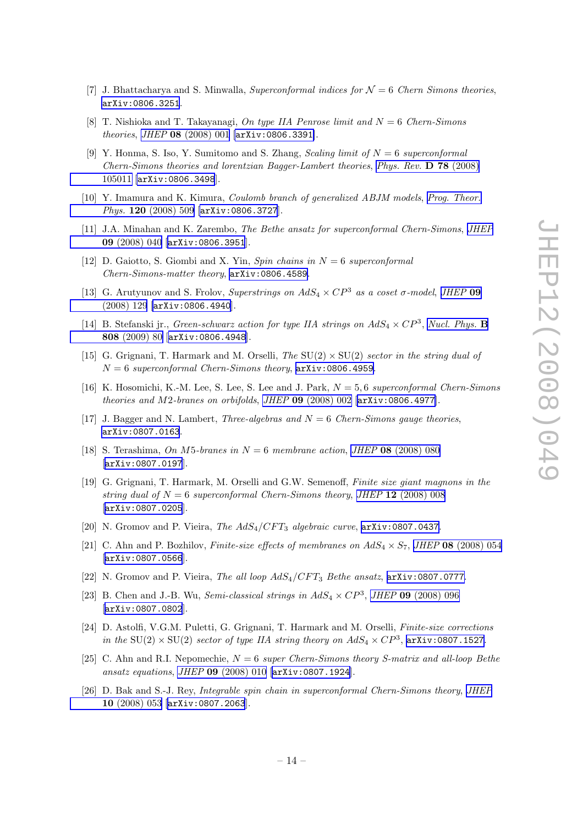- <span id="page-14-0"></span>[7] J. Bhattacharya and S. Minwalla, Superconformal indices for  $\mathcal{N}=6$  Chern Simons theories, [arXiv:0806.3251](http://arxiv.org/abs/0806.3251).
- [8] T. Nishioka and T. Takayanagi, On type IIA Penrose limit and  $N = 6$  Chern-Simons theories, JHEP 08 [\(2008\) 001](http://jhep.sissa.it/stdsearch?paper=08%282008%29001) [[arXiv:0806.3391](http://arxiv.org/abs/0806.3391)].
- [9] Y. Honma, S. Iso, Y. Sumitomo and S. Zhang, Scaling limit of  $N = 6$  superconformal Chern-Simons theories and lorentzian Bagger-Lambert theories, [Phys. Rev.](http://www-spires.slac.stanford.edu/spires/find/hep/www?j=PHRVA%2CD78%2C105011) D 78 (2008) [105011](http://www-spires.slac.stanford.edu/spires/find/hep/www?j=PHRVA%2CD78%2C105011) [[arXiv:0806.3498](http://arxiv.org/abs/0806.3498)].
- [10] Y. Imamura and K. Kimura, Coulomb branch of generalized ABJM models, [Prog. Theor.](http://www-spires.slac.stanford.edu/spires/find/hep/www?j=PTPKA%2C120%2C509) Phys. 120 [\(2008\) 509](http://www-spires.slac.stanford.edu/spires/find/hep/www?j=PTPKA%2C120%2C509) [[arXiv:0806.3727](http://arxiv.org/abs/0806.3727)].
- [11] J.A. Minahan and K. Zarembo, The Bethe ansatz for superconformal Chern-Simons, [JHEP](http://jhep.sissa.it/stdsearch?paper=09%282008%29040) 09 [\(2008\) 040](http://jhep.sissa.it/stdsearch?paper=09%282008%29040) [[arXiv:0806.3951](http://arxiv.org/abs/0806.3951)].
- [12] D. Gaiotto, S. Giombi and X. Yin, Spin chains in  $N = 6$  superconformal Chern-Simons-matter theory, [arXiv:0806.4589](http://arxiv.org/abs/0806.4589).
- [13] G. Arutyunov and S. Frolov, Superstrings on  $AdS_4 \times CP^3$  as a coset  $\sigma$ -model, [JHEP](http://jhep.sissa.it/stdsearch?paper=09%282008%29129) 09 [\(2008\) 129](http://jhep.sissa.it/stdsearch?paper=09%282008%29129) [[arXiv:0806.4940](http://arxiv.org/abs/0806.4940)].
- [14] B. Stefanski jr., *Green-schwarz action for type IIA strings on*  $AdS_4 \times CP^3$ *, [Nucl. Phys.](http://www-spires.slac.stanford.edu/spires/find/hep/www?j=NUPHA%2CB808%2C80)* **B** 808 [\(2009\) 80](http://www-spires.slac.stanford.edu/spires/find/hep/www?j=NUPHA%2CB808%2C80) [[arXiv:0806.4948](http://arxiv.org/abs/0806.4948)].
- [15] G. Grignani, T. Harmark and M. Orselli, The  $SU(2) \times SU(2)$  sector in the string dual of  $N = 6$  superconformal Chern-Simons theory,  $arXiv:0806.4959$ .
- [16] K. Hosomichi, K.-M. Lee, S. Lee, S. Lee and J. Park,  $N = 5.6$  superconformal Chern-Simons theories and M2-branes on orbifolds, JHEP 09 [\(2008\) 002](http://jhep.sissa.it/stdsearch?paper=09%282008%29002) [[arXiv:0806.4977](http://arxiv.org/abs/0806.4977)].
- [17] J. Bagger and N. Lambert, Three-algebras and  $N = 6$  Chern-Simons gauge theories, [arXiv:0807.0163](http://arxiv.org/abs/0807.0163).
- [18] S. Terashima, On M5-branes in  $N = 6$  membrane action, JHEP 08 [\(2008\) 080](http://jhep.sissa.it/stdsearch?paper=08%282008%29080) [[arXiv:0807.0197](http://arxiv.org/abs/0807.0197)].
- [19] G. Grignani, T. Harmark, M. Orselli and G.W. Semenoff, Finite size giant magnons in the string dual of  $N = 6$  superconformal Chern-Simons theory, JHEP 12 [\(2008\) 008](http://jhep.sissa.it/stdsearch?paper=12%282008%29008) [[arXiv:0807.0205](http://arxiv.org/abs/0807.0205)].
- [20] N. Gromov and P. Vieira, The  $AdS_4/CFT_3$  algebraic curve,  $arXiv:0807.0437$ .
- [21] C. Ahn and P. Bozhilov, Finite-size effects of membranes on  $AdS_4 \times S_7$ , JHEP 08 [\(2008\) 054](http://jhep.sissa.it/stdsearch?paper=08%282008%29054) [[arXiv:0807.0566](http://arxiv.org/abs/0807.0566)].
- [22] N. Gromov and P. Vieira, The all loop  $AdS_4/CFT_3$  Bethe ansatz,  $arXiv:0807.0777$ .
- [23] B. Chen and J.-B. Wu, *Semi-classical strings in*  $AdS_4 \times CP^3$ *, JHEP* **09** [\(2008\) 096](http://jhep.sissa.it/stdsearch?paper=09%282008%29096) [[arXiv:0807.0802](http://arxiv.org/abs/0807.0802)].
- [24] D. Astolfi, V.G.M. Puletti, G. Grignani, T. Harmark and M. Orselli, Finite-size corrections in the SU(2)  $\times$  SU(2) sector of type IIA string theory on  $AdS_4 \times CP^3$ , [arXiv:0807.1527](http://arxiv.org/abs/0807.1527).
- [25] C. Ahn and R.I. Nepomechie,  $N = 6$  super Chern-Simons theory S-matrix and all-loop Bethe ansatz equations, JHEP 09 [\(2008\) 010](http://jhep.sissa.it/stdsearch?paper=09%282008%29010) [[arXiv:0807.1924](http://arxiv.org/abs/0807.1924)].
- [26] D. Bak and S.-J. Rey, Integrable spin chain in superconformal Chern-Simons theory, [JHEP](http://jhep.sissa.it/stdsearch?paper=10%282008%29053) 10 [\(2008\) 053](http://jhep.sissa.it/stdsearch?paper=10%282008%29053) [[arXiv:0807.2063](http://arxiv.org/abs/0807.2063)].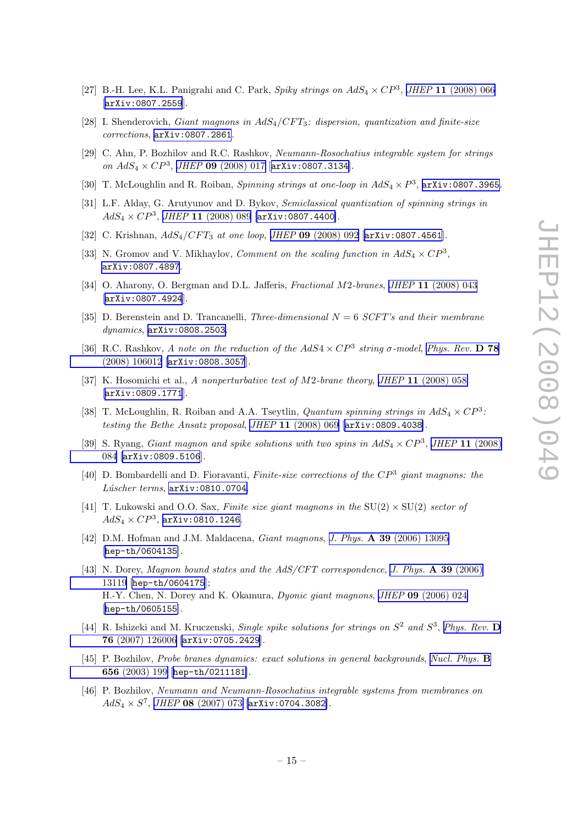- <span id="page-15-0"></span>[27] B.-H. Lee, K.L. Panigrahi and C. Park, Spiky strings on  $AdS_4 \times CP^3$ , JHEP 11 [\(2008\) 066](http://jhep.sissa.it/stdsearch?paper=11%282008%29066) [[arXiv:0807.2559](http://arxiv.org/abs/0807.2559)].
- [28] I. Shenderovich, Giant magnons in  $AdS_4/CFT_3$ : dispersion, quantization and finite-size corrections, [arXiv:0807.2861](http://arxiv.org/abs/0807.2861).
- [29] C. Ahn, P. Bozhilov and R.C. Rashkov, Neumann-Rosochatius integrable system for strings on  $AdS_4 \times CP^3$ , JHEP 09 [\(2008\) 017](http://jhep.sissa.it/stdsearch?paper=09%282008%29017) [[arXiv:0807.3134](http://arxiv.org/abs/0807.3134)].
- [30] T. McLoughlin and R. Roiban, *Spinning strings at one-loop in*  $AdS_4 \times P^3$ ,  $arXiv:0807.3965$ .
- [31] L.F. Alday, G. Arutyunov and D. Bykov, Semiclassical quantization of spinning strings in  $AdS_4 \times CP^3$ , JHEP 11 [\(2008\) 089](http://jhep.sissa.it/stdsearch?paper=11%282008%29089) [[arXiv:0807.4400](http://arxiv.org/abs/0807.4400)].
- [32] C. Krishnan,  $AdS_4/CFT_3$  at one loop, JHEP 09 [\(2008\) 092](http://jhep.sissa.it/stdsearch?paper=09%282008%29092) [[arXiv:0807.4561](http://arxiv.org/abs/0807.4561)].
- [33] N. Gromov and V. Mikhaylov, *Comment on the scaling function in*  $AdS_4 \times CP^3$ , [arXiv:0807.4897](http://arxiv.org/abs/0807.4897).
- [34] O. Aharony, O. Bergman and D.L. Jafferis, *Fractional M2-branes*, *JHEP* 11 [\(2008\) 043](http://jhep.sissa.it/stdsearch?paper=11%282008%29043) [[arXiv:0807.4924](http://arxiv.org/abs/0807.4924)].
- [35] D. Berenstein and D. Trancanelli, Three-dimensional  $N = 6$  SCFT's and their membrane dynamics, [arXiv:0808.2503](http://arxiv.org/abs/0808.2503).
- [36] R.C. Rashkov, A note on the reduction of the  $AdS4 \times CP^3$  string  $\sigma$ -model, [Phys. Rev.](http://www-spires.slac.stanford.edu/spires/find/hep/www?j=PHRVA%2CD78%2C106012) D 78 [\(2008\) 106012](http://www-spires.slac.stanford.edu/spires/find/hep/www?j=PHRVA%2CD78%2C106012) [[arXiv:0808.3057](http://arxiv.org/abs/0808.3057)].
- [37] K. Hosomichi et al., A nonperturbative test of M2-brane theory, JHEP 11 [\(2008\) 058](http://jhep.sissa.it/stdsearch?paper=11%282008%29058) [[arXiv:0809.1771](http://arxiv.org/abs/0809.1771)].
- [38] T. McLoughlin, R. Roiban and A.A. Tseytlin, *Quantum spinning strings in*  $AdS_4 \times CP^3$ : testing the Bethe Ansatz proposal, JHEP 11 [\(2008\) 069](http://jhep.sissa.it/stdsearch?paper=11%282008%29069) [[arXiv:0809.4038](http://arxiv.org/abs/0809.4038)].
- [39] S. Ryang, *Giant magnon and spike solutions with two spins in*  $AdS_4 \times CP^3$ , *JHEP* 11 [\(2008\)](http://jhep.sissa.it/stdsearch?paper=11%282008%29084) [084](http://jhep.sissa.it/stdsearch?paper=11%282008%29084) [[arXiv:0809.5106](http://arxiv.org/abs/0809.5106)].
- [40] D. Bombardelli and D. Fioravanti, Finite-size corrections of the  $CP^3$  giant magnons: the  $Lúscher$  terms,  $arXiv:0810.0704$ .
- [41] T. Lukowski and O.O. Sax, Finite size giant magnons in the  $SU(2) \times SU(2)$  sector of  $AdS_4\times CP^3$ , [arXiv:0810.1246](http://arxiv.org/abs/0810.1246).
- [42] D.M. Hofman and J.M. Maldacena, Giant magnons, J. Phys. A 39 [\(2006\) 13095](http://www-spires.slac.stanford.edu/spires/find/hep/www?j=JPAGB%2CA39%2C13095) [[hep-th/0604135](http://arxiv.org/abs/hep-th/0604135)].
- [43] N. Dorey, Magnon bound states and the AdS/CFT correspondence, [J. Phys.](http://www-spires.slac.stanford.edu/spires/find/hep/www?j=JPAGB%2CA39%2C13119) A 39 (2006) [13119](http://www-spires.slac.stanford.edu/spires/find/hep/www?j=JPAGB%2CA39%2C13119) [[hep-th/0604175](http://arxiv.org/abs/hep-th/0604175)]; H.-Y. Chen, N. Dorey and K. Okamura, Dyonic giant magnons, JHEP 09 [\(2006\) 024](http://jhep.sissa.it/stdsearch?paper=09%282006%29024) [[hep-th/0605155](http://arxiv.org/abs/hep-th/0605155)].
- [44] R. Ishizeki and M. Kruczenski, Single spike solutions for strings on  $S^2$  and  $S^3$ , [Phys. Rev.](http://www-spires.slac.stanford.edu/spires/find/hep/www?j=PHRVA%2CD76%2C126006) D 76 [\(2007\) 126006](http://www-spires.slac.stanford.edu/spires/find/hep/www?j=PHRVA%2CD76%2C126006) [[arXiv:0705.2429](http://arxiv.org/abs/0705.2429)].
- [45] P. Bozhilov, Probe branes dynamics: exact solutions in general backgrounds, [Nucl. Phys.](http://www-spires.slac.stanford.edu/spires/find/hep/www?j=NUPHA%2CB656%2C199) B 656 [\(2003\) 199](http://www-spires.slac.stanford.edu/spires/find/hep/www?j=NUPHA%2CB656%2C199) [[hep-th/0211181](http://arxiv.org/abs/hep-th/0211181)].
- [46] P. Bozhilov, Neumann and Neumann-Rosochatius integrable systems from membranes on  $AdS_4 \times S^7$ , JHEP 08 [\(2007\) 073](http://jhep.sissa.it/stdsearch?paper=08%282007%29073) [[arXiv:0704.3082](http://arxiv.org/abs/0704.3082)].